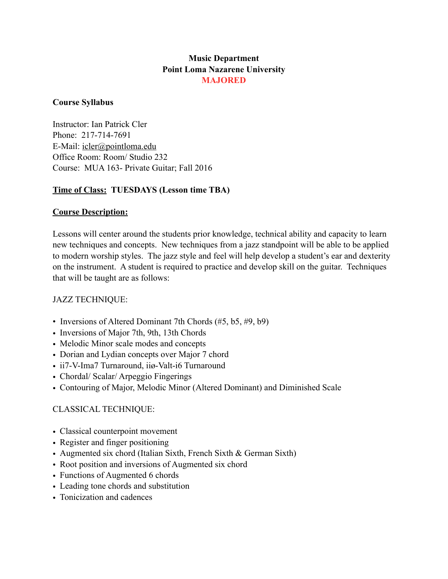# **Music Department Point Loma Nazarene University MAJORED**

## **Course Syllabus**

Instructor: Ian Patrick Cler Phone: 217-714-7691 E-Mail: [icler@pointloma.edu](mailto:icler@pointloma.edu) Office Room: Room/ Studio 232 Course: MUA 163- Private Guitar; Fall 2016

## **Time of Class: TUESDAYS (Lesson time TBA)**

## **Course Description:**

Lessons will center around the students prior knowledge, technical ability and capacity to learn new techniques and concepts. New techniques from a jazz standpoint will be able to be applied to modern worship styles. The jazz style and feel will help develop a student's ear and dexterity on the instrument. A student is required to practice and develop skill on the guitar. Techniques that will be taught are as follows:

## JAZZ TECHNIQUE:

- Inversions of Altered Dominant 7th Chords (#5, b5, #9, b9)
- Inversions of Major 7th, 9th, 13th Chords
- Melodic Minor scale modes and concepts
- Dorian and Lydian concepts over Major 7 chord
- ii7-V-Ima7 Turnaround, iiø-Valt-i6 Turnaround
- Chordal/ Scalar/ Arpeggio Fingerings
- Contouring of Major, Melodic Minor (Altered Dominant) and Diminished Scale

## CLASSICAL TECHNIQUE:

- Classical counterpoint movement
- Register and finger positioning
- Augmented six chord (Italian Sixth, French Sixth & German Sixth)
- Root position and inversions of Augmented six chord
- Functions of Augmented 6 chords
- Leading tone chords and substitution
- Tonicization and cadences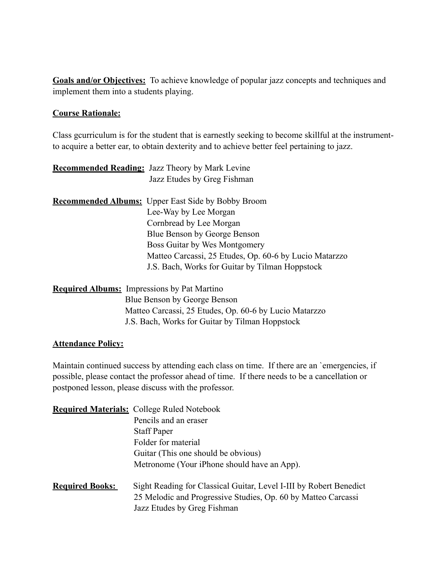**Goals and/or Objectives:** To achieve knowledge of popular jazz concepts and techniques and implement them into a students playing.

#### **Course Rationale:**

Class gcurriculum is for the student that is earnestly seeking to become skillful at the instrumentto acquire a better ear, to obtain dexterity and to achieve better feel pertaining to jazz.

|                                                    | <b>Recommended Reading:</b> Jazz Theory by Mark Levine    |
|----------------------------------------------------|-----------------------------------------------------------|
|                                                    | Jazz Etudes by Greg Fishman                               |
|                                                    | <b>Recommended Albums:</b> Upper East Side by Bobby Broom |
|                                                    | Lee-Way by Lee Morgan                                     |
|                                                    | Cornbread by Lee Morgan                                   |
|                                                    | Blue Benson by George Benson                              |
|                                                    | Boss Guitar by Wes Montgomery                             |
|                                                    | Matteo Carcassi, 25 Etudes, Op. 60-6 by Lucio Matarzzo    |
|                                                    | J.S. Bach, Works for Guitar by Tilman Hoppstock           |
| <b>Required Albums:</b> Impressions by Pat Martino |                                                           |
|                                                    | Blue Benson by George Benson                              |
|                                                    | Matteo Carcassi, 25 Etudes, Op. 60-6 by Lucio Matarzzo    |

# **Attendance Policy:**

Maintain continued success by attending each class on time. If there are an `emergencies, if possible, please contact the professor ahead of time. If there needs to be a cancellation or postponed lesson, please discuss with the professor.

J.S. Bach, Works for Guitar by Tilman Hoppstock

|                        | <b>Required Materials:</b> College Ruled Notebook                                                                                                                  |
|------------------------|--------------------------------------------------------------------------------------------------------------------------------------------------------------------|
|                        | Pencils and an eraser                                                                                                                                              |
|                        | <b>Staff Paper</b>                                                                                                                                                 |
|                        | Folder for material                                                                                                                                                |
|                        | Guitar (This one should be obvious)                                                                                                                                |
|                        | Metronome (Your iPhone should have an App).                                                                                                                        |
| <b>Required Books:</b> | Sight Reading for Classical Guitar, Level I-III by Robert Benedict<br>25 Melodic and Progressive Studies, Op. 60 by Matteo Carcassi<br>Jazz Etudes by Greg Fishman |